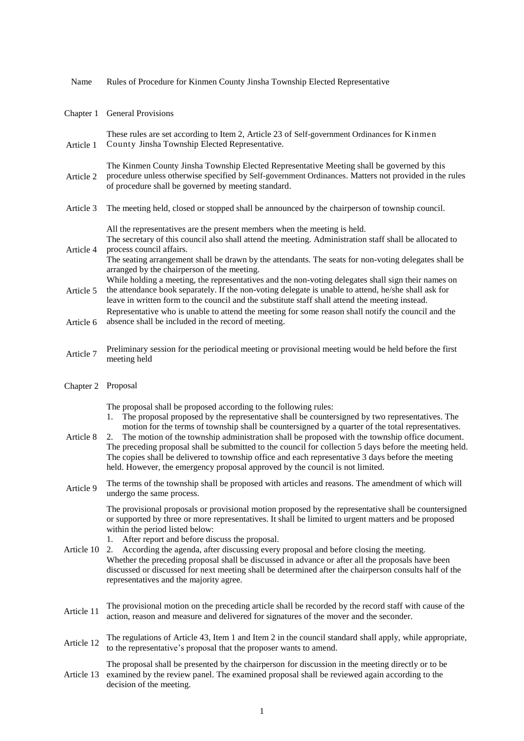| Name       | Rules of Procedure for Kinmen County Jinsha Township Elected Representative                                                                                                                                                                                                                                                                                                                                                                                                                                                                                                                                                                                                              |
|------------|------------------------------------------------------------------------------------------------------------------------------------------------------------------------------------------------------------------------------------------------------------------------------------------------------------------------------------------------------------------------------------------------------------------------------------------------------------------------------------------------------------------------------------------------------------------------------------------------------------------------------------------------------------------------------------------|
| Chapter 1  | General Provisions                                                                                                                                                                                                                                                                                                                                                                                                                                                                                                                                                                                                                                                                       |
| Article 1  | These rules are set according to Item 2, Article 23 of Self-government Ordinances for Kinmen<br>County Jinsha Township Elected Representative.                                                                                                                                                                                                                                                                                                                                                                                                                                                                                                                                           |
| Article 2  | The Kinmen County Jinsha Township Elected Representative Meeting shall be governed by this<br>procedure unless otherwise specified by Self-government Ordinances. Matters not provided in the rules<br>of procedure shall be governed by meeting standard.                                                                                                                                                                                                                                                                                                                                                                                                                               |
| Article 3  | The meeting held, closed or stopped shall be announced by the chairperson of township council.                                                                                                                                                                                                                                                                                                                                                                                                                                                                                                                                                                                           |
| Article 4  | All the representatives are the present members when the meeting is held.<br>The secretary of this council also shall attend the meeting. Administration staff shall be allocated to<br>process council affairs.<br>The seating arrangement shall be drawn by the attendants. The seats for non-voting delegates shall be<br>arranged by the chairperson of the meeting.                                                                                                                                                                                                                                                                                                                 |
| Article 5  | While holding a meeting, the representatives and the non-voting delegates shall sign their names on<br>the attendance book separately. If the non-voting delegate is unable to attend, he/she shall ask for<br>leave in written form to the council and the substitute staff shall attend the meeting instead.                                                                                                                                                                                                                                                                                                                                                                           |
| Article 6  | Representative who is unable to attend the meeting for some reason shall notify the council and the<br>absence shall be included in the record of meeting.                                                                                                                                                                                                                                                                                                                                                                                                                                                                                                                               |
| Article 7  | Preliminary session for the periodical meeting or provisional meeting would be held before the first<br>meeting held                                                                                                                                                                                                                                                                                                                                                                                                                                                                                                                                                                     |
| Chapter 2  | Proposal                                                                                                                                                                                                                                                                                                                                                                                                                                                                                                                                                                                                                                                                                 |
| Article 8  | The proposal shall be proposed according to the following rules:<br>The proposal proposed by the representative shall be countersigned by two representatives. The<br>1.<br>motion for the terms of township shall be countersigned by a quarter of the total representatives.<br>The motion of the township administration shall be proposed with the township office document.<br>2.<br>The preceding proposal shall be submitted to the council for collection 5 days before the meeting held.<br>The copies shall be delivered to township office and each representative 3 days before the meeting<br>held. However, the emergency proposal approved by the council is not limited. |
| Article 9  | The terms of the township shall be proposed with articles and reasons. The amendment of which will<br>undergo the same process.                                                                                                                                                                                                                                                                                                                                                                                                                                                                                                                                                          |
| Article 10 | The provisional proposals or provisional motion proposed by the representative shall be countersigned<br>or supported by three or more representatives. It shall be limited to urgent matters and be proposed<br>within the period listed below:<br>After report and before discuss the proposal.<br>1.<br>According the agenda, after discussing every proposal and before closing the meeting.<br>2.<br>Whether the preceding proposal shall be discussed in advance or after all the proposals have been<br>discussed or discussed for next meeting shall be determined after the chairperson consults half of the<br>representatives and the majority agree.                         |
| Article 11 | The provisional motion on the preceding article shall be recorded by the record staff with cause of the<br>action, reason and measure and delivered for signatures of the mover and the seconder.                                                                                                                                                                                                                                                                                                                                                                                                                                                                                        |
| Article 12 | The regulations of Article 43, Item 1 and Item 2 in the council standard shall apply, while appropriate,<br>to the representative's proposal that the proposer wants to amend.                                                                                                                                                                                                                                                                                                                                                                                                                                                                                                           |
| Article 13 | The proposal shall be presented by the chairperson for discussion in the meeting directly or to be<br>examined by the review panel. The examined proposal shall be reviewed again according to the<br>decision of the meeting.                                                                                                                                                                                                                                                                                                                                                                                                                                                           |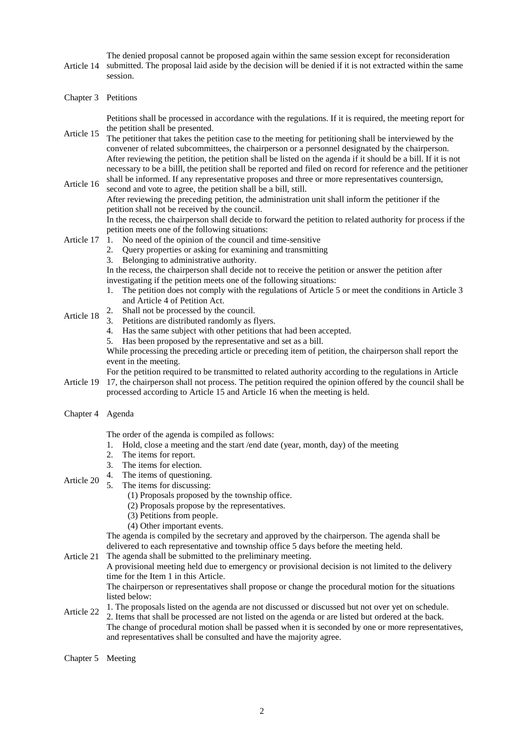Article 14 The denied proposal cannot be proposed again within the same session except for reconsideration submitted. The proposal laid aside by the decision will be denied if it is not extracted within the same session.

Chapter 3 Petitions

Petitions shall be processed in accordance with the regulations. If it is required, the meeting report for the petition shall be presented.

Article 15 The petitioner that takes the petition case to the meeting for petitioning shall be interviewed by the convener of related subcommittees, the chairperson or a personnel designated by the chairperson. After reviewing the petition, the petition shall be listed on the agenda if it should be a bill. If it is not necessary to be a billl, the petition shall be reported and filed on record for reference and the petitioner

Article 16 shall be informed. If any representative proposes and three or more representatives countersign, second and vote to agree, the petition shall be a bill, still. After reviewing the preceding petition, the administration unit shall inform the petitioner if the petition shall not be received by the council. In the recess, the chairperson shall decide to forward the petition to related authority for process if the petition meets one of the following situations:

- Article 17 1. No need of the opinion of the council and time-sensitive
	- 2. Query properties or asking for examining and transmitting
	- 3. Belonging to administrative authority.

In the recess, the chairperson shall decide not to receive the petition or answer the petition after investigating if the petition meets one of the following situations:

- 1. The petition does not comply with the regulations of Article 5 or meet the conditions in Article 3 and Article 4 of Petition Act.
- Article 18 2. Shall not be processed by the council.
	- 3. Petitions are distributed randomly as flyers.
	- 4. Has the same subject with other petitions that had been accepted.
	- 5. Has been proposed by the representative and set as a bill.

While processing the preceding article or preceding item of petition, the chairperson shall report the event in the meeting.

Article 19 17, the chairperson shall not process. The petition required the opinion offered by the council shall be For the petition required to be transmitted to related authority according to the regulations in Article

- processed according to Article 15 and Article 16 when the meeting is held.
- Chapter 4 Agenda

The order of the agenda is compiled as follows:

- 1. Hold, close a meeting and the start /end date (year, month, day) of the meeting
- 2. The items for report.
- 3. The items for election.
- 4. The items of questioning.
- Article 20 5. The items for discussing:
	- (1) Proposals proposed by the township office.
	- (2) Proposals propose by the representatives.
	- (3) Petitions from people.
	- (4) Other important events.

The agenda is compiled by the secretary and approved by the chairperson. The agenda shall be delivered to each representative and township office 5 days before the meeting held.

Article 21 The agenda shall be submitted to the preliminary meeting.

A provisional meeting held due to emergency or provisional decision is not limited to the delivery time for the Item 1 in this Article.

The chairperson or representatives shall propose or change the procedural motion for the situations listed below:

Article 22 1. The proposals listed on the agenda are not discussed or discussed but not over yet on schedule. 2. Items that shall be processed are not listed on the agenda or are listed but ordered at the back. The change of procedural motion shall be passed when it is seconded by one or more representatives, and representatives shall be consulted and have the majority agree.

Chapter 5 Meeting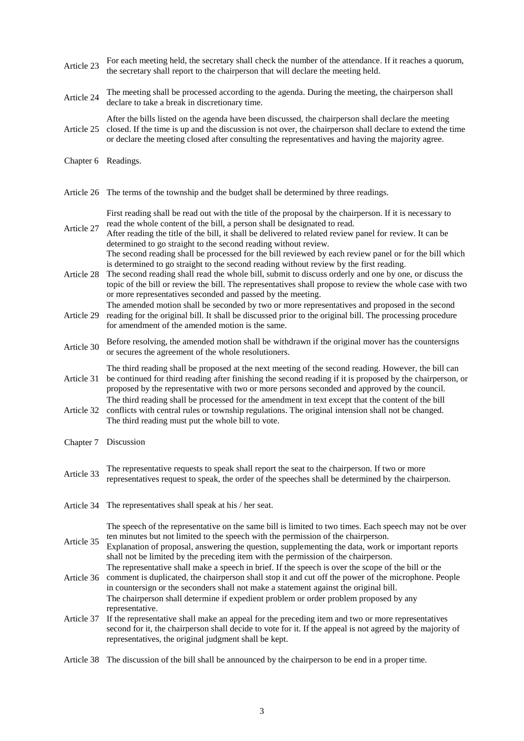- Article 23 For each meeting held, the secretary shall check the number of the attendance. If it reaches a quorum, the secretary shall report to the chairperson that will declare the meeting held.
- Article <sup>24</sup> The meeting shall be processed according to the agenda. During the meeting, the chairperson shall declare to take a break in discretionary time.
- Article 25 After the bills listed on the agenda have been discussed, the chairperson shall declare the meeting closed. If the time is up and the discussion is not over, the chairperson shall declare to extend the time or declare the meeting closed after consulting the representatives and having the majority agree.
- Chapter 6 Readings.
- Article 26 The terms of the township and the budget shall be determined by three readings.

First reading shall be read out with the title of the proposal by the chairperson. If it is necessary to read the whole content of the bill, a person shall be designated to read.

- Article 27 After reading the title of the bill, it shall be delivered to related review panel for review. It can be determined to go straight to the second reading without review. The second reading shall be processed for the bill reviewed by each review panel or for the bill which is determined to go straight to the second reading without review by the first reading.
- Article 28 The second reading shall read the whole bill, submit to discuss orderly and one by one, or discuss the topic of the bill or review the bill. The representatives shall propose to review the whole case with two or more representatives seconded and passed by the meeting.
- Article 29 The amended motion shall be seconded by two or more representatives and proposed in the second reading for the original bill. It shall be discussed prior to the original bill. The processing procedure for amendment of the amended motion is the same.
- Article 30 Before resolving, the amended motion shall be withdrawn if the original mover has the countersigns or secures the agreement of the whole resolutioners.
- Article 31 The third reading shall be proposed at the next meeting of the second reading. However, the bill can be continued for third reading after finishing the second reading if it is proposed by the chairperson, or
- proposed by the representative with two or more persons seconded and approved by the council. Article 32 The third reading shall be processed for the amendment in text except that the content of the bill conflicts with central rules or township regulations. The original intension shall not be changed.
- The third reading must put the whole bill to vote.
- Chapter 7 Discussion
- Article 33 The representative requests to speak shall report the seat to the chairperson. If two or more representatives request to speak, the order of the speeches shall be determined by the chairperson.
- Article 34 The representatives shall speak at his / her seat.

The speech of the representative on the same bill is limited to two times. Each speech may not be over ten minutes but not limited to the speech with the permission of the chairperson.

- Article 35 Explanation of proposal, answering the question, supplementing the data, work or important reports shall not be limited by the preceding item with the permission of the chairperson. The representative shall make a speech in brief. If the speech is over the scope of the bill or the
- Article 36 comment is duplicated, the chairperson shall stop it and cut off the power of the microphone. People in countersign or the seconders shall not make a statement against the original bill. The chairperson shall determine if expedient problem or order problem proposed by any representative.
- Article 37 If the representative shall make an appeal for the preceding item and two or more representatives second for it, the chairperson shall decide to vote for it. If the appeal is not agreed by the majority of representatives, the original judgment shall be kept.

Article 38 The discussion of the bill shall be announced by the chairperson to be end in a proper time.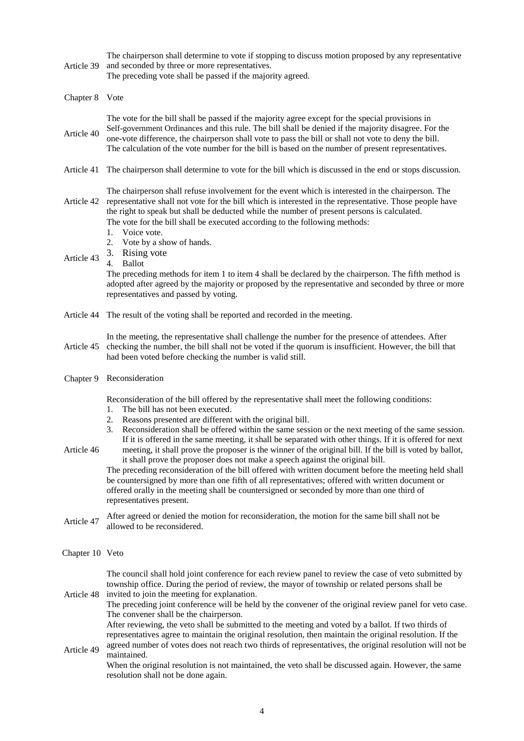Article 39 The chairperson shall determine to vote if stopping to discuss motion proposed by any representative and seconded by three or more representatives.

The preceding vote shall be passed if the majority agreed.

| Chapter 8 | Vote |
|-----------|------|
|           |      |

Article 40 The vote for the bill shall be passed if the majority agree except for the special provisions in Self-government Ordinances and this rule. The bill shall be denied if the majority disagree. For the one-vote difference, the chairperson shall vote to pass the bill or shall not vote to deny the bill. The calculation of the vote number for the bill is based on the number of present representatives.

Article 41 The chairperson shall determine to vote for the bill which is discussed in the end or stops discussion.

Article 42 representative shall not vote for the bill which is interested in the representative. Those people have The chairperson shall refuse involvement for the event which is interested in the chairperson. The

the right to speak but shall be deducted while the number of present persons is calculated. The vote for the bill shall be executed according to the following methods:

- 1. Voice vote.
- 2. Vote by a show of hands.
- 3. Rising vote
- Article 43 4. Ballot

The preceding methods for item 1 to item 4 shall be declared by the chairperson. The fifth method is adopted after agreed by the majority or proposed by the representative and seconded by three or more representatives and passed by voting.

- Article 44 The result of the voting shall be reported and recorded in the meeting.
- Article 45 In the meeting, the representative shall challenge the number for the presence of attendees. After checking the number, the bill shall not be voted if the quorum is insufficient. However, the bill that had been voted before checking the number is valid still.
- Chapter 9 Reconsideration

Reconsideration of the bill offered by the representative shall meet the following conditions:

- 1. The bill has not been executed.
- 2. Reasons presented are different with the original bill.
- 3. Reconsideration shall be offered within the same session or the next meeting of the same session. If it is offered in the same meeting, it shall be separated with other things. If it is offered for next
- Article 46 meeting, it shall prove the proposer is the winner of the original bill. If the bill is voted by ballot, it shall prove the proposer does not make a speech against the original bill. The preceding reconsideration of the bill offered with written document before the meeting held shall be countersigned by more than one fifth of all representatives; offered with written document or

offered orally in the meeting shall be countersigned or seconded by more than one third of representatives present.

Article <sup>47</sup> After agreed or denied the motion for reconsideration, the motion for the same bill shall not be allowed to be reconsidered.

## Chapter 10 Veto

The council shall hold joint conference for each review panel to review the case of veto submitted by township office. During the period of review, the mayor of township or related persons shall be invited to join the meeting for explanation.

Article 48 The preceding joint conference will be held by the convener of the original review panel for veto case. The convener shall be the chairperson.

After reviewing, the veto shall be submitted to the meeting and voted by a ballot. If two thirds of representatives agree to maintain the original resolution, then maintain the original resolution. If the agreed number of votes does not reach two thirds of representatives, the original resolution will not be

Article 49 maintained. When the original resolution is not maintained, the veto shall be discussed again. However, the same resolution shall not be done again.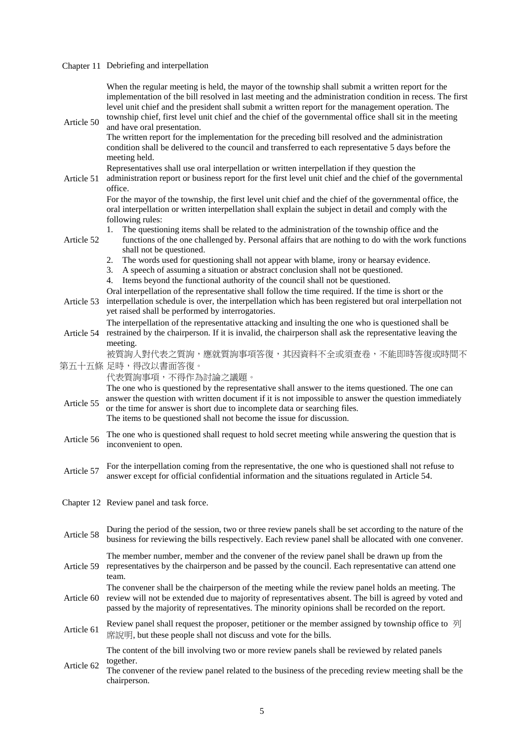## Chapter 11 Debriefing and interpellation

| Article 50 | When the regular meeting is held, the mayor of the township shall submit a written report for the<br>implementation of the bill resolved in last meeting and the administration condition in recess. The first<br>level unit chief and the president shall submit a written report for the management operation. The<br>township chief, first level unit chief and the chief of the governmental office shall sit in the meeting<br>and have oral presentation. |  |  |
|------------|-----------------------------------------------------------------------------------------------------------------------------------------------------------------------------------------------------------------------------------------------------------------------------------------------------------------------------------------------------------------------------------------------------------------------------------------------------------------|--|--|
|            | The written report for the implementation for the preceding bill resolved and the administration<br>condition shall be delivered to the council and transferred to each representative 5 days before the<br>meeting held.                                                                                                                                                                                                                                       |  |  |
| Article 51 | Representatives shall use oral interpellation or written interpellation if they question the<br>administration report or business report for the first level unit chief and the chief of the governmental<br>office.                                                                                                                                                                                                                                            |  |  |
|            | For the mayor of the township, the first level unit chief and the chief of the governmental office, the<br>oral interpellation or written interpellation shall explain the subject in detail and comply with the<br>following rules:                                                                                                                                                                                                                            |  |  |
| Article 52 | The questioning items shall be related to the administration of the township office and the<br>1.<br>functions of the one challenged by. Personal affairs that are nothing to do with the work functions<br>shall not be questioned.                                                                                                                                                                                                                            |  |  |
|            | The words used for questioning shall not appear with blame, irony or hearsay evidence.<br>2.<br>A speech of assuming a situation or abstract conclusion shall not be questioned.<br>3.<br>Items beyond the functional authority of the council shall not be questioned.<br>4.                                                                                                                                                                                   |  |  |
| Article 53 | Oral interpellation of the representative shall follow the time required. If the time is short or the<br>interpellation schedule is over, the interpellation which has been registered but oral interpellation not<br>yet raised shall be performed by interrogatories.                                                                                                                                                                                         |  |  |
| Article 54 | The interpellation of the representative attacking and insulting the one who is questioned shall be<br>restrained by the chairperson. If it is invalid, the chairperson shall ask the representative leaving the<br>meeting.                                                                                                                                                                                                                                    |  |  |
|            | 被質詢人對代表之質詢,應就質詢事項答復,其因資料不全或須查卷,不能即時答復或時間不<br>第五十五條 足時,得改以書面答復。<br>代表質詢事項,不得作為討論之議題。                                                                                                                                                                                                                                                                                                                                                                             |  |  |
| Article 55 | The one who is questioned by the representative shall answer to the items questioned. The one can<br>answer the question with written document if it is not impossible to answer the question immediately<br>or the time for answer is short due to incomplete data or searching files.<br>The items to be questioned shall not become the issue for discussion.                                                                                                |  |  |
| Article 56 | The one who is questioned shall request to hold secret meeting while answering the question that is<br>inconvenient to open.                                                                                                                                                                                                                                                                                                                                    |  |  |
| Article 57 | For the interpellation coming from the representative, the one who is questioned shall not refuse to<br>answer except for official confidential information and the situations regulated in Article 54.                                                                                                                                                                                                                                                         |  |  |
|            | Chapter 12 Review panel and task force.                                                                                                                                                                                                                                                                                                                                                                                                                         |  |  |
| Article 58 | During the period of the session, two or three review panels shall be set according to the nature of the<br>business for reviewing the bills respectively. Each review panel shall be allocated with one convener.                                                                                                                                                                                                                                              |  |  |
| Article 59 | The member number, member and the convener of the review panel shall be drawn up from the<br>representatives by the chairperson and be passed by the council. Each representative can attend one<br>team.                                                                                                                                                                                                                                                       |  |  |
| Article 60 | The convener shall be the chairperson of the meeting while the review panel holds an meeting. The<br>review will not be extended due to majority of representatives absent. The bill is agreed by voted and<br>passed by the majority of representatives. The minority opinions shall be recorded on the report.                                                                                                                                                |  |  |
| Article 61 | Review panel shall request the proposer, petitioner or the member assigned by township office to $\mathcal{F}$<br>席說明, but these people shall not discuss and vote for the bills.                                                                                                                                                                                                                                                                               |  |  |
|            | The content of the bill involving two or more review panels shall be reviewed by related panels                                                                                                                                                                                                                                                                                                                                                                 |  |  |
| Article 62 | together.<br>The convener of the review panel related to the business of the preceding review meeting shall be the<br>chairperson.                                                                                                                                                                                                                                                                                                                              |  |  |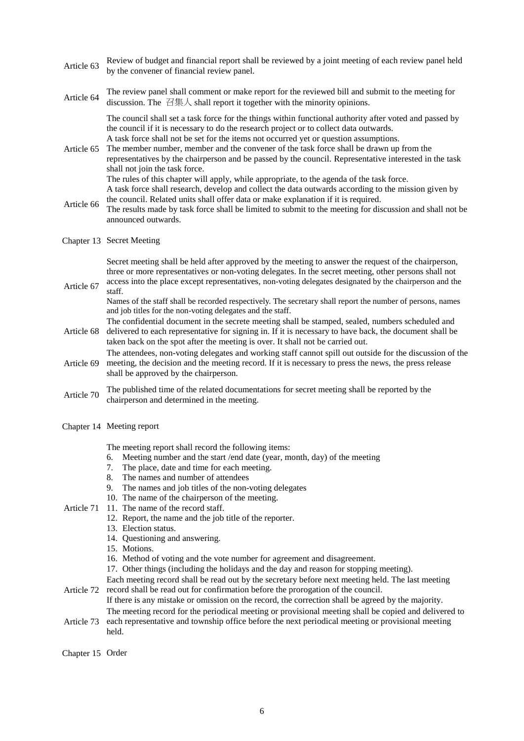- Article <sup>63</sup> Review of budget and financial report shall be reviewed by a joint meeting of each review panel held by the convener of financial review panel.
- Article 64 The review panel shall comment or make report for the reviewed bill and submit to the meeting for discussion. The 召集人 shall report it together with the minority opinions.

The council shall set a task force for the things within functional authority after voted and passed by the council if it is necessary to do the research project or to collect data outwards. A task force shall not be set for the items not occurred yet or question assumptions.

- Article 65 The member number, member and the convener of the task force shall be drawn up from the representatives by the chairperson and be passed by the council. Representative interested in the task shall not join the task force. The rules of this chapter will apply, while appropriate, to the agenda of the task force. A task force shall research, develop and collect the data outwards according to the mission given by the council. Related units shall offer data or make explanation if it is required.
- Article 66 The results made by task force shall be limited to submit to the meeting for discussion and shall not be announced outwards.

## Chapter 13 Secret Meeting

Secret meeting shall be held after approved by the meeting to answer the request of the chairperson, three or more representatives or non-voting delegates. In the secret meeting, other persons shall not

Article 67 access into the place except representatives, non-voting delegates designated by the chairperson and the staff.

Names of the staff shall be recorded respectively. The secretary shall report the number of persons, names and job titles for the non-voting delegates and the staff.

The confidential document in the secrete meeting shall be stamped, sealed, numbers scheduled and

- Article 68 delivered to each representative for signing in. If it is necessary to have back, the document shall be taken back on the spot after the meeting is over. It shall not be carried out.
- Article 69 The attendees, non-voting delegates and working staff cannot spill out outside for the discussion of the meeting, the decision and the meeting record. If it is necessary to press the news, the press release shall be approved by the chairperson.
- Article <sup>70</sup> The published time of the related documentations for secret meeting shall be reported by the chairperson and determined in the meeting.
- Chapter 14 Meeting report

The meeting report shall record the following items:

- 6. Meeting number and the start /end date (year, month, day) of the meeting
- 7. The place, date and time for each meeting.
- 8. The names and number of attendees
- 9. The names and job titles of the non-voting delegates
- 10. The name of the chairperson of the meeting.
- Article 71 11. The name of the record staff.
	- 12. Report, the name and the job title of the reporter.
		- 13. Election status.
		- 14. Questioning and answering.
		- 15. Motions.
		- 16. Method of voting and the vote number for agreement and disagreement.
		- 17. Other things (including the holidays and the day and reason for stopping meeting).

Article 72 Each meeting record shall be read out by the secretary before next meeting held. The last meeting record shall be read out for confirmation before the prorogation of the council.

If there is any mistake or omission on the record, the correction shall be agreed by the majority. The meeting record for the periodical meeting or provisional meeting shall be copied and delivered to

- Article 73 each representative and township office before the next periodical meeting or provisional meeting held.
- Chapter 15 Order